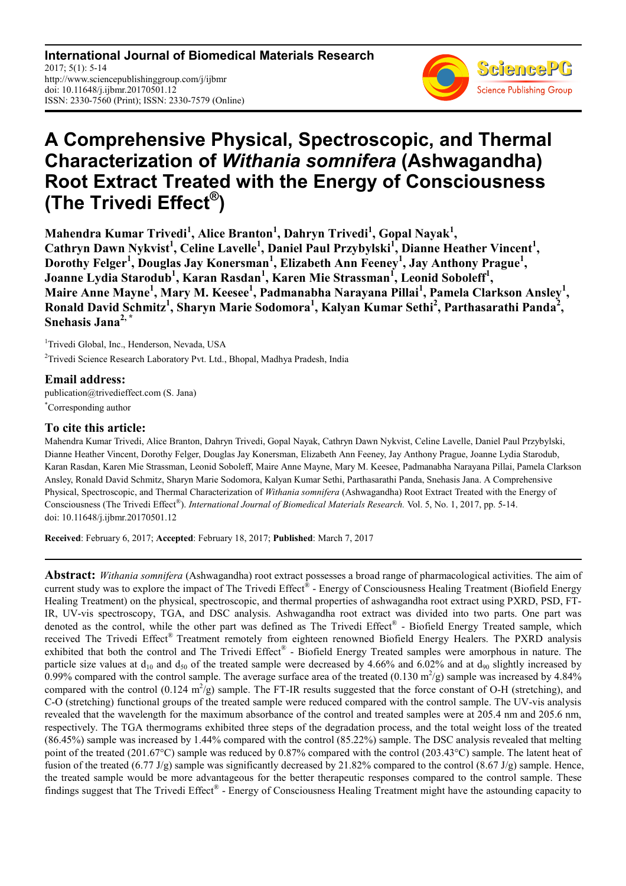**International Journal of Biomedical Materials Research** 2017; 5(1): 5-14 http://www.sciencepublishinggroup.com/j/ijbmr doi: 10.11648/j.ijbmr.20170501.12 ISSN: 2330-7560 (Print); ISSN: 2330-7579 (Online)



# **A Comprehensive Physical, Spectroscopic, and Thermal Characterization of** *Withania somnifera* **(Ashwagandha) Root Extract Treated with the Energy of Consciousness (The Trivedi Effect® )**

**Mahendra Kumar Trivedi<sup>1</sup> , Alice Branton<sup>1</sup> , Dahryn Trivedi<sup>1</sup> , Gopal Nayak<sup>1</sup> ,**  Cathryn Dawn Nykvist<sup>1</sup>, Celine Lavelle<sup>1</sup>, Daniel Paul Przybylski<sup>1</sup>, Dianne Heather Vincent<sup>1</sup>, **Dorothy Felger<sup>1</sup> , Douglas Jay Konersman<sup>1</sup> , Elizabeth Ann Feeney<sup>1</sup> , Jay Anthony Prague<sup>1</sup> , Joanne Lydia Starodub<sup>1</sup> , Karan Rasdan<sup>1</sup> , Karen Mie Strassman<sup>1</sup> , Leonid Soboleff<sup>1</sup> , Maire Anne Mayne<sup>1</sup> , Mary M. Keesee<sup>1</sup> , Padmanabha Narayana Pillai<sup>1</sup> , Pamela Clarkson Ansley<sup>1</sup> , Ronald David Schmitz<sup>1</sup> , Sharyn Marie Sodomora<sup>1</sup> , Kalyan Kumar Sethi<sup>2</sup> , Parthasarathi Panda<sup>2</sup> , Snehasis Jana2, \***

<sup>1</sup>Trivedi Global, Inc., Henderson, Nevada, USA <sup>2</sup>Trivedi Science Research Laboratory Pvt. Ltd., Bhopal, Madhya Pradesh, India

## **Email address:**

publication@trivedieffect.com (S. Jana) \*Corresponding author

# **To cite this article:**

Mahendra Kumar Trivedi, Alice Branton, Dahryn Trivedi, Gopal Nayak, Cathryn Dawn Nykvist, Celine Lavelle, Daniel Paul Przybylski, Dianne Heather Vincent, Dorothy Felger, Douglas Jay Konersman, Elizabeth Ann Feeney, Jay Anthony Prague, Joanne Lydia Starodub, Karan Rasdan, Karen Mie Strassman, Leonid Soboleff, Maire Anne Mayne, Mary M. Keesee, Padmanabha Narayana Pillai, Pamela Clarkson Ansley, Ronald David Schmitz, Sharyn Marie Sodomora, Kalyan Kumar Sethi, Parthasarathi Panda, Snehasis Jana. A Comprehensive Physical, Spectroscopic, and Thermal Characterization of *Withania somnifera* (Ashwagandha) Root Extract Treated with the Energy of Consciousness (The Trivedi Effect®). *International Journal of Biomedical Materials Research*. Vol. 5, No. 1, 2017, pp. 5-14. doi: 10.11648/j.ijbmr.20170501.12

**Received**: February 6, 2017; **Accepted**: February 18, 2017; **Published**: March 7, 2017

**Abstract:** *Withania somnifera* (Ashwagandha) root extract possesses a broad range of pharmacological activities. The aim of current study was to explore the impact of The Trivedi Effect<sup>®</sup> - Energy of Consciousness Healing Treatment (Biofield Energy Healing Treatment) on the physical, spectroscopic, and thermal properties of ashwagandha root extract using PXRD, PSD, FT-IR, UV-vis spectroscopy, TGA, and DSC analysis. Ashwagandha root extract was divided into two parts. One part was denoted as the control, while the other part was defined as The Trivedi Effect® - Biofield Energy Treated sample, which received The Trivedi Effect® Treatment remotely from eighteen renowned Biofield Energy Healers. The PXRD analysis exhibited that both the control and The Trivedi Effect® - Biofield Energy Treated samples were amorphous in nature. The particle size values at  $d_{10}$  and  $d_{50}$  of the treated sample were decreased by 4.66% and 6.02% and at  $d_{90}$  slightly increased by 0.99% compared with the control sample. The average surface area of the treated  $(0.130 \text{ m}^2/\text{g})$  sample was increased by 4.84% compared with the control  $(0.124 \text{ m}^2/\text{g})$  sample. The FT-IR results suggested that the force constant of O-H (stretching), and C-O (stretching) functional groups of the treated sample were reduced compared with the control sample. The UV-vis analysis revealed that the wavelength for the maximum absorbance of the control and treated samples were at 205.4 nm and 205.6 nm, respectively. The TGA thermograms exhibited three steps of the degradation process, and the total weight loss of the treated (86.45%) sample was increased by 1.44% compared with the control (85.22%) sample. The DSC analysis revealed that melting point of the treated (201.67°C) sample was reduced by 0.87% compared with the control (203.43°C) sample. The latent heat of fusion of the treated (6.77 J/g) sample was significantly decreased by 21.82% compared to the control (8.67 J/g) sample. Hence, the treated sample would be more advantageous for the better therapeutic responses compared to the control sample. These findings suggest that The Trivedi Effect® - Energy of Consciousness Healing Treatment might have the astounding capacity to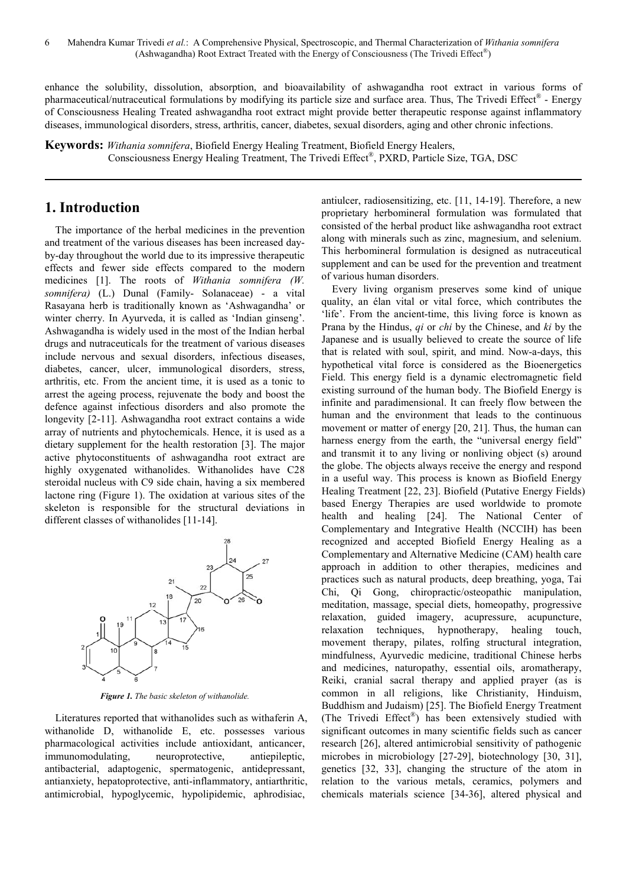enhance the solubility, dissolution, absorption, and bioavailability of ashwagandha root extract in various forms of pharmaceutical/nutraceutical formulations by modifying its particle size and surface area. Thus, The Trivedi Effect® - Energy of Consciousness Healing Treated ashwagandha root extract might provide better therapeutic response against inflammatory diseases, immunological disorders, stress, arthritis, cancer, diabetes, sexual disorders, aging and other chronic infections.

**Keywords:** *Withania somnifera*, Biofield Energy Healing Treatment, Biofield Energy Healers, Consciousness Energy Healing Treatment, The Trivedi Effect® , PXRD, Particle Size, TGA, DSC

# **1. Introduction**

The importance of the herbal medicines in the prevention and treatment of the various diseases has been increased dayby-day throughout the world due to its impressive therapeutic effects and fewer side effects compared to the modern medicines [1]. The roots of *Withania somnifera (W. somnifera)* (L.) Dunal (Family- Solanaceae) - a vital Rasayana herb is traditionally known as 'Ashwagandha' or winter cherry. In Ayurveda, it is called as 'Indian ginseng'. Ashwagandha is widely used in the most of the Indian herbal drugs and nutraceuticals for the treatment of various diseases include nervous and sexual disorders, infectious diseases, diabetes, cancer, ulcer, immunological disorders, stress, arthritis, etc. From the ancient time, it is used as a tonic to arrest the ageing process, rejuvenate the body and boost the defence against infectious disorders and also promote the longevity [2-11]. Ashwagandha root extract contains a wide array of nutrients and phytochemicals. Hence, it is used as a dietary supplement for the health restoration [3]. The major active phytoconstituents of ashwagandha root extract are highly oxygenated withanolides. Withanolides have C28 steroidal nucleus with C9 side chain, having a six membered lactone ring (Figure 1). The oxidation at various sites of the skeleton is responsible for the structural deviations in different classes of withanolides [11-14].



*Figure 1. The basic skeleton of withanolide.* 

Literatures reported that withanolides such as withaferin A, withanolide D, withanolide E, etc. possesses various pharmacological activities include antioxidant, anticancer, immunomodulating, neuroprotective, antiepileptic, antibacterial, adaptogenic, spermatogenic, antidepressant, antianxiety, hepatoprotective, anti-inflammatory, antiarthritic, antimicrobial, hypoglycemic, hypolipidemic, aphrodisiac,

antiulcer, radiosensitizing, etc. [11, 14-19]. Therefore, a new proprietary herbomineral formulation was formulated that consisted of the herbal product like ashwagandha root extract along with minerals such as zinc, magnesium, and selenium. This herbomineral formulation is designed as nutraceutical supplement and can be used for the prevention and treatment of various human disorders.

Every living organism preserves some kind of unique quality, an élan vital or vital force, which contributes the 'life'. From the ancient-time, this living force is known as Prana by the Hindus, *qi* or *chi* by the Chinese, and *ki* by the Japanese and is usually believed to create the source of life that is related with soul, spirit, and mind. Now-a-days, this hypothetical vital force is considered as the Bioenergetics Field. This energy field is a dynamic electromagnetic field existing surround of the human body. The Biofield Energy is infinite and paradimensional. It can freely flow between the human and the environment that leads to the continuous movement or matter of energy [20, 21]. Thus, the human can harness energy from the earth, the "universal energy field" and transmit it to any living or nonliving object (s) around the globe. The objects always receive the energy and respond in a useful way. This process is known as Biofield Energy Healing Treatment [22, 23]. Biofield (Putative Energy Fields) based Energy Therapies are used worldwide to promote health and healing [24]. The National Center of Complementary and Integrative Health (NCCIH) has been recognized and accepted Biofield Energy Healing as a Complementary and Alternative Medicine (CAM) health care approach in addition to other therapies, medicines and practices such as natural products, deep breathing, yoga, Tai Chi, Qi Gong, chiropractic/osteopathic manipulation, meditation, massage, special diets, homeopathy, progressive relaxation, guided imagery, acupressure, acupuncture, relaxation techniques, hypnotherapy, healing touch, movement therapy, pilates, rolfing structural integration, mindfulness, Ayurvedic medicine, traditional Chinese herbs and medicines, naturopathy, essential oils, aromatherapy, Reiki, cranial sacral therapy and applied prayer (as is common in all religions, like Christianity, Hinduism, Buddhism and Judaism) [25]. The Biofield Energy Treatment (The Trivedi Effect®) has been extensively studied with significant outcomes in many scientific fields such as cancer research [26], altered antimicrobial sensitivity of pathogenic microbes in microbiology [27-29], biotechnology [30, 31], genetics [32, 33], changing the structure of the atom in relation to the various metals, ceramics, polymers and chemicals materials science [34-36], altered physical and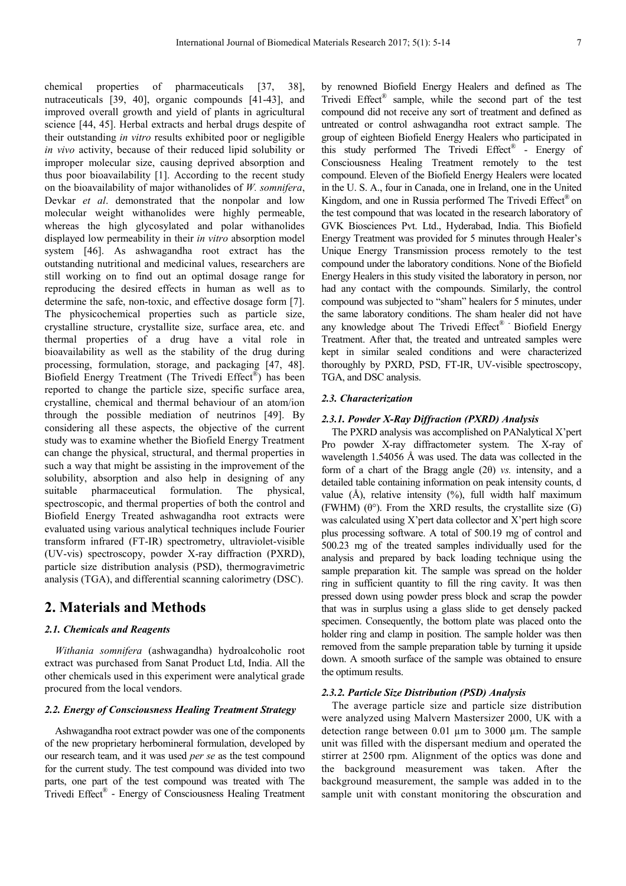chemical properties of pharmaceuticals [37, 38], nutraceuticals [39, 40], organic compounds [41-43], and improved overall growth and yield of plants in agricultural science [44, 45]. Herbal extracts and herbal drugs despite of their outstanding *in vitro* results exhibited poor or negligible *in vivo* activity, because of their reduced lipid solubility or improper molecular size, causing deprived absorption and thus poor bioavailability [1]. According to the recent study on the bioavailability of major withanolides of *W. somnifera*, Devkar *et al*. demonstrated that the nonpolar and low molecular weight withanolides were highly permeable, whereas the high glycosylated and polar withanolides displayed low permeability in their *in vitro* absorption model system [46]. As ashwagandha root extract has the outstanding nutritional and medicinal values, researchers are still working on to find out an optimal dosage range for reproducing the desired effects in human as well as to determine the safe, non-toxic, and effective dosage form [7]. The physicochemical properties such as particle size, crystalline structure, crystallite size, surface area, etc. and thermal properties of a drug have a vital role in bioavailability as well as the stability of the drug during processing, formulation, storage, and packaging [47, 48]. Biofield Energy Treatment (The Trivedi Effect® ) has been reported to change the particle size, specific surface area, crystalline, chemical and thermal behaviour of an atom/ion through the possible mediation of neutrinos [49]. By considering all these aspects, the objective of the current study was to examine whether the Biofield Energy Treatment can change the physical, structural, and thermal properties in such a way that might be assisting in the improvement of the solubility, absorption and also help in designing of any suitable pharmaceutical formulation. The physical, spectroscopic, and thermal properties of both the control and Biofield Energy Treated ashwagandha root extracts were evaluated using various analytical techniques include Fourier transform infrared (FT-IR) spectrometry, ultraviolet-visible (UV-vis) spectroscopy, powder X-ray diffraction (PXRD), particle size distribution analysis (PSD), thermogravimetric analysis (TGA), and differential scanning calorimetry (DSC).

## **2. Materials and Methods**

### *2.1. Chemicals and Reagents*

*Withania somnifera* (ashwagandha) hydroalcoholic root extract was purchased from Sanat Product Ltd, India. All the other chemicals used in this experiment were analytical grade procured from the local vendors.

### *2.2. Energy of Consciousness Healing Treatment Strategy*

Ashwagandha root extract powder was one of the components of the new proprietary herbomineral formulation, developed by our research team, and it was used *per se* as the test compound for the current study. The test compound was divided into two parts, one part of the test compound was treated with The Trivedi Effect® - Energy of Consciousness Healing Treatment by renowned Biofield Energy Healers and defined as The Trivedi Effect® sample, while the second part of the test compound did not receive any sort of treatment and defined as untreated or control ashwagandha root extract sample. The group of eighteen Biofield Energy Healers who participated in this study performed The Trivedi Effect® - Energy of Consciousness Healing Treatment remotely to the test compound. Eleven of the Biofield Energy Healers were located in the U. S. A., four in Canada, one in Ireland, one in the United Kingdom, and one in Russia performed The Trivedi Effect<sup>®</sup> on the test compound that was located in the research laboratory of GVK Biosciences Pvt. Ltd., Hyderabad, India. This Biofield Energy Treatment was provided for 5 minutes through Healer's Unique Energy Transmission process remotely to the test compound under the laboratory conditions. None of the Biofield Energy Healers in this study visited the laboratory in person, nor had any contact with the compounds. Similarly, the control compound was subjected to "sham" healers for 5 minutes, under the same laboratory conditions. The sham healer did not have any knowledge about The Trivedi Effect® - Biofield Energy Treatment. After that, the treated and untreated samples were kept in similar sealed conditions and were characterized thoroughly by PXRD, PSD, FT-IR, UV-visible spectroscopy, TGA, and DSC analysis.

#### *2.3. Characterization*

### *2.3.1. Powder X-Ray Diffraction (PXRD) Analysis*

The PXRD analysis was accomplished on PANalytical X'pert Pro powder X-ray diffractometer system. The X-ray of wavelength 1.54056 Å was used. The data was collected in the form of a chart of the Bragg angle (2θ) *vs.* intensity, and a detailed table containing information on peak intensity counts, d value  $(\hat{A})$ , relative intensity  $(\%)$ , full width half maximum (FWHM)  $(\theta^{\circ})$ . From the XRD results, the crystallite size (G) was calculated using X'pert data collector and X'pert high score plus processing software. A total of 500.19 mg of control and 500.23 mg of the treated samples individually used for the analysis and prepared by back loading technique using the sample preparation kit. The sample was spread on the holder ring in sufficient quantity to fill the ring cavity. It was then pressed down using powder press block and scrap the powder that was in surplus using a glass slide to get densely packed specimen. Consequently, the bottom plate was placed onto the holder ring and clamp in position. The sample holder was then removed from the sample preparation table by turning it upside down. A smooth surface of the sample was obtained to ensure the optimum results.

### *2.3.2. Particle Size Distribution (PSD) Analysis*

The average particle size and particle size distribution were analyzed using Malvern Mastersizer 2000, UK with a detection range between 0.01 µm to 3000 µm. The sample unit was filled with the dispersant medium and operated the stirrer at 2500 rpm. Alignment of the optics was done and the background measurement was taken. After the background measurement, the sample was added in to the sample unit with constant monitoring the obscuration and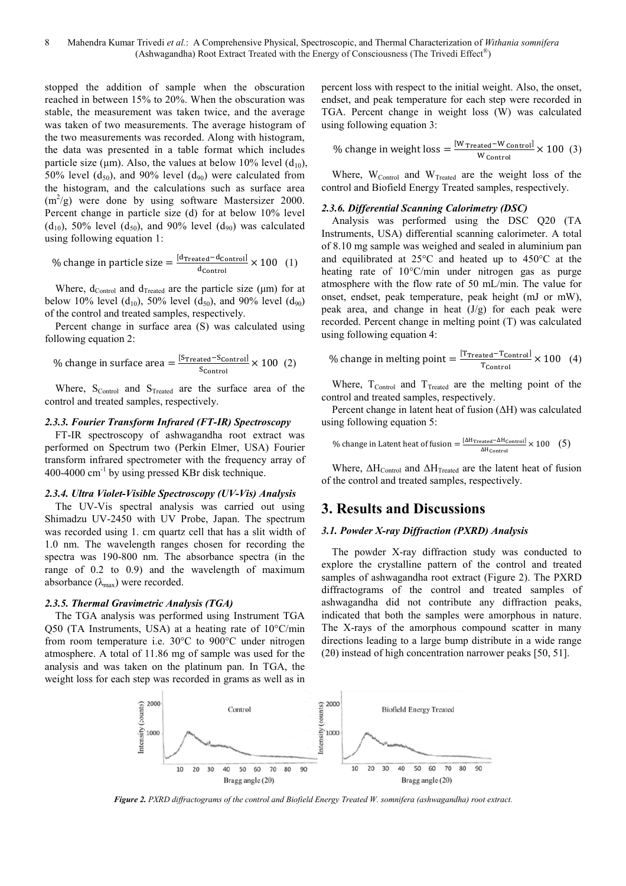stopped the addition of sample when the obscuration reached in between 15% to 20%. When the obscuration was stable, the measurement was taken twice, and the average was taken of two measurements. The average histogram of the two measurements was recorded. Along with histogram, the data was presented in a table format which includes particle size ( $\mu$ m). Also, the values at below 10% level ( $d_{10}$ ), 50% level  $(d_{50})$ , and 90% level  $(d_{90})$  were calculated from the histogram, and the calculations such as surface area  $(m^2/g)$  were done by using software Mastersizer 2000. Percent change in particle size (d) for at below 10% level  $(d_{10})$ , 50% level  $(d_{50})$ , and 90% level  $(d_{90})$  was calculated using following equation 1:

% change in particle size = 
$$
\frac{\text{[dTreated – dcontrol]}{\text{d}_{control}} \times 100 \quad (1)
$$

Where,  $d_{\text{Control}}$  and  $d_{\text{Treated}}$  are the particle size ( $\mu$ m) for at below 10% level (d<sub>10</sub>), 50% level (d<sub>50</sub>), and 90% level (d<sub>90</sub>) of the control and treated samples, respectively.

Percent change in surface area (S) was calculated using following equation 2:

% change in surface area = 
$$
\frac{[S_{\text{Treated}} - S_{\text{Control}}]}{S_{\text{Control}}} \times 100 \text{ (2)}
$$

Where,  $S_{Control}$  and  $S_{Treated}$  are the surface area of the control and treated samples, respectively.

### *2.3.3. Fourier Transform Infrared (FT-IR) Spectroscopy*

FT-IR spectroscopy of ashwagandha root extract was performed on Spectrum two (Perkin Elmer, USA) Fourier transform infrared spectrometer with the frequency array of 400-4000 cm-1 by using pressed KBr disk technique.

#### *2.3.4. Ultra Violet-Visible Spectroscopy (UV-Vis) Analysis*

The UV-Vis spectral analysis was carried out using Shimadzu UV-2450 with UV Probe, Japan. The spectrum was recorded using 1. cm quartz cell that has a slit width of 1.0 nm. The wavelength ranges chosen for recording the spectra was 190-800 nm. The absorbance spectra (in the range of 0.2 to 0.9) and the wavelength of maximum absorbance  $(\lambda_{\text{max}})$  were recorded.

### *2.3.5. Thermal Gravimetric Analysis (TGA)*

The TGA analysis was performed using Instrument TGA Q50 (TA Instruments, USA) at a heating rate of 10°C/min from room temperature i.e. 30°C to 900°C under nitrogen atmosphere. A total of 11.86 mg of sample was used for the analysis and was taken on the platinum pan. In TGA, the weight loss for each step was recorded in grams as well as in percent loss with respect to the initial weight. Also, the onset, endset, and peak temperature for each step were recorded in TGA. Percent change in weight loss (W) was calculated using following equation 3:

% change in weight loss = 
$$
\frac{[W \text{ Treated} - W \text{ Control}]}{W \text{ Control}} \times 100 \text{ (3)}
$$

Where,  $W_{Control}$  and  $W_{Treated}$  are the weight loss of the control and Biofield Energy Treated samples, respectively.

#### *2.3.6. Differential Scanning Calorimetry (DSC)*

Analysis was performed using the DSC Q20 (TA Instruments, USA) differential scanning calorimeter. A total of 8.10 mg sample was weighed and sealed in aluminium pan and equilibrated at 25°C and heated up to 450°C at the heating rate of 10°C/min under nitrogen gas as purge atmosphere with the flow rate of 50 mL/min. The value for onset, endset, peak temperature, peak height (mJ or mW), peak area, and change in heat  $(J/g)$  for each peak were recorded. Percent change in melting point (T) was calculated using following equation 4:

% change in melting point = 
$$
\frac{[T_{\text{Treated}} - T_{\text{Control}}]}{T_{\text{Control}}} \times 100
$$
 (4)

Where,  $T_{Control}$  and  $T_{Treated}$  are the melting point of the control and treated samples, respectively.

Percent change in latent heat of fusion (∆H) was calculated using following equation 5:

$$
\% \text{ change in Latent heat of fusion} = \frac{[\Delta H_{\text{Treated}} - \Delta H_{\text{Control}}]}{\Delta H_{\text{Control}}} \times 100 \quad (5)
$$

Where,  $\Delta H_{\text{Control}}$  and  $\Delta H_{\text{Treated}}$  are the latent heat of fusion of the control and treated samples, respectively.

### **3. Results and Discussions**

### *3.1. Powder X-ray Diffraction (PXRD) Analysis*

The powder X-ray diffraction study was conducted to explore the crystalline pattern of the control and treated samples of ashwagandha root extract (Figure 2). The PXRD diffractograms of the control and treated samples of ashwagandha did not contribute any diffraction peaks, indicated that both the samples were amorphous in nature. The X-rays of the amorphous compound scatter in many directions leading to a large bump distribute in a wide range (2θ) instead of high concentration narrower peaks [50, 51].



*Figure 2. PXRD diffractograms of the control and Biofield Energy Treated W. somnifera (ashwagandha) root extract.*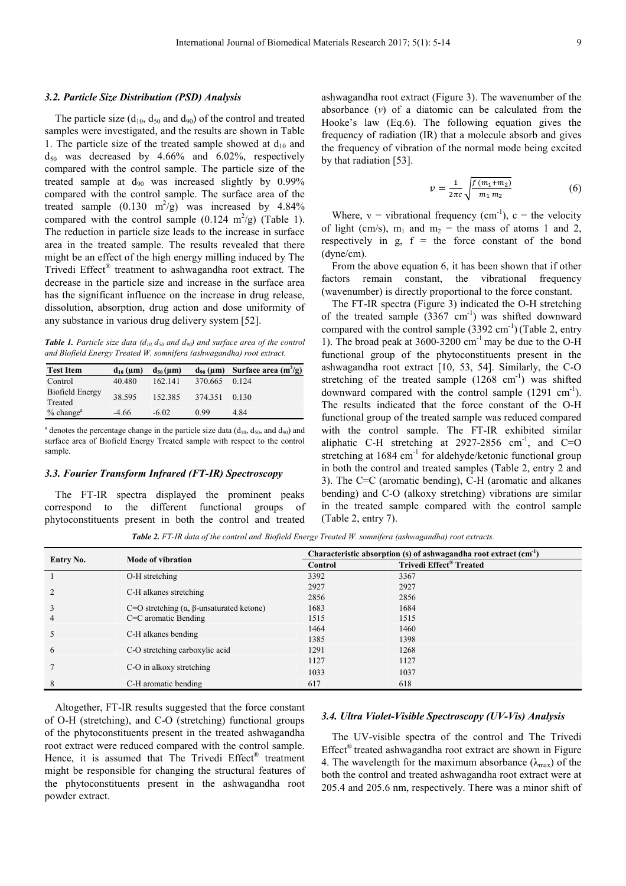### *3.2. Particle Size Distribution (PSD) Analysis*

The particle size  $(d_{10}, d_{50} \text{ and } d_{90})$  of the control and treated samples were investigated, and the results are shown in Table 1. The particle size of the treated sample showed at  $d_{10}$  and  $d_{50}$  was decreased by 4.66% and 6.02%, respectively compared with the control sample. The particle size of the treated sample at  $d_{90}$  was increased slightly by 0.99% compared with the control sample. The surface area of the treated sample  $(0.130 \text{ m}^2/\text{g})$  was increased by 4.84% compared with the control sample  $(0.124 \text{ m}^2/\text{g})$  (Table 1). The reduction in particle size leads to the increase in surface area in the treated sample. The results revealed that there might be an effect of the high energy milling induced by The Trivedi Effect® treatment to ashwagandha root extract. The decrease in the particle size and increase in the surface area has the significant influence on the increase in drug release, dissolution, absorption, drug action and dose uniformity of any substance in various drug delivery system [52].

*Table 1. Particle size data (d<sub>10</sub>*  $d_{50}$  *and*  $d_{90}$ *) and surface area of the control and Biofield Energy Treated W. somnifera (ashwagandha) root extract.* 

| <b>Test Item</b>           | $d_{10}$ (µm) | $d_{50}(\mu m)$ | $d_{90}$ (µm) | Surface area $(m^2/g)$ |
|----------------------------|---------------|-----------------|---------------|------------------------|
| Control                    | 40.480        | 162.141         | 370.665       | 0.124                  |
| Biofield Energy<br>Treated | 38.595        | 152.385         | 374.351       | 0.130                  |
| $%$ change <sup>a</sup>    | $-4.66$       | $-6.02$         | 0.99          | 4.84                   |

<sup>a</sup> denotes the percentage change in the particle size data  $(d_{10}, d_{50},$  and  $d_{90})$  and surface area of Biofield Energy Treated sample with respect to the control sample.

#### *3.3. Fourier Transform Infrared (FT-IR) Spectroscopy*

The FT-IR spectra displayed the prominent peaks correspond to the different functional groups of phytoconstituents present in both the control and treated ashwagandha root extract (Figure 3). The wavenumber of the absorbance (*ν*) of a diatomic can be calculated from the Hooke's law (Eq.6). The following equation gives the frequency of radiation (IR) that a molecule absorb and gives the frequency of vibration of the normal mode being excited by that radiation [53].

$$
v = \frac{1}{2\pi c} \sqrt{\frac{f(m_1 + m_2)}{m_1 m_2}}
$$
 (6)

Where,  $v =$  vibrational frequency (cm<sup>-1</sup>),  $c =$  the velocity of light (cm/s),  $m_1$  and  $m_2$  = the mass of atoms 1 and 2, respectively in  $g$ ,  $f =$  the force constant of the bond (dyne/cm).

From the above equation 6, it has been shown that if other factors remain constant, the vibrational frequency (wavenumber) is directly proportional to the force constant.

The FT-IR spectra (Figure 3) indicated the O-H stretching of the treated sample  $(3367 \text{ cm}^{-1})$  was shifted downward compared with the control sample  $(3392 \text{ cm}^{-1})$  (Table 2, entry 1). The broad peak at  $3600-3200$  cm<sup>-1</sup> may be due to the O-H functional group of the phytoconstituents present in the ashwagandha root extract [10, 53, 54]. Similarly, the C-O stretching of the treated sample  $(1268 \text{ cm}^{-1})$  was shifted downward compared with the control sample  $(1291 \text{ cm}^{-1})$ . The results indicated that the force constant of the O-H functional group of the treated sample was reduced compared with the control sample. The FT-IR exhibited similar aliphatic C-H stretching at  $2927-2856$  cm<sup>-1</sup>, and C=O stretching at 1684 cm<sup>-1</sup> for aldehyde/ketonic functional group in both the control and treated samples (Table 2, entry 2 and 3). The C=C (aromatic bending), C-H (aromatic and alkanes bending) and C-O (alkoxy stretching) vibrations are similar in the treated sample compared with the control sample (Table 2, entry 7).

|                                          | Mode of vibration                                    | Characteristic absorption (s) of ashwagandha root extract $(cm-1)$ |                                     |  |
|------------------------------------------|------------------------------------------------------|--------------------------------------------------------------------|-------------------------------------|--|
| Entry No.                                |                                                      | Control                                                            | Trivedi Effect <sup>®</sup> Treated |  |
|                                          | O-H stretching                                       | 3392                                                               | 3367                                |  |
| C-H alkanes stretching<br>$\overline{2}$ |                                                      | 2927                                                               | 2927                                |  |
|                                          |                                                      | 2856                                                               | 2856                                |  |
| 3                                        | C=O stretching $(\alpha, \beta$ -unsaturated ketone) | 1683                                                               | 1684                                |  |
| 4                                        | $C=C$ aromatic Bending                               | 1515                                                               | 1515                                |  |
| C-H alkanes bending                      |                                                      | 1464                                                               | 1460                                |  |
|                                          |                                                      | 1385                                                               | 1398                                |  |
| 6                                        | C-O stretching carboxylic acid                       | 1291                                                               | 1268                                |  |
| C-O in alkoxy stretching                 |                                                      | 1127                                                               | 1127                                |  |
|                                          |                                                      | 1033                                                               | 1037                                |  |
| 8                                        | C-H aromatic bending                                 | 617                                                                | 618                                 |  |

*Table 2. FT-IR data of the control and Biofield Energy Treated W. somnifera (ashwagandha) root extracts.* 

Altogether, FT-IR results suggested that the force constant of O-H (stretching), and C-O (stretching) functional groups of the phytoconstituents present in the treated ashwagandha root extract were reduced compared with the control sample. Hence, it is assumed that The Trivedi Effect® treatment might be responsible for changing the structural features of the phytoconstituents present in the ashwagandha root powder extract.

#### *3.4. Ultra Violet-Visible Spectroscopy (UV-Vis) Analysis*

The UV-visible spectra of the control and The Trivedi Effect® treated ashwagandha root extract are shown in Figure 4. The wavelength for the maximum absorbance  $(\lambda_{\text{max}})$  of the both the control and treated ashwagandha root extract were at 205.4 and 205.6 nm, respectively. There was a minor shift of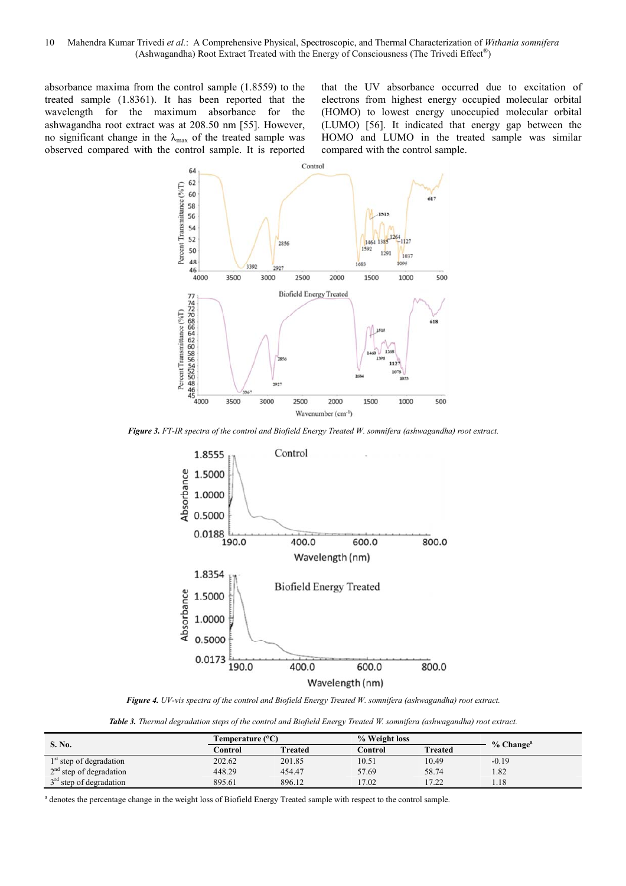absorbance maxima from the control sample (1.8559) to the treated sample (1.8361). It has been reported that the wavelength for the maximum absorbance for the ashwagandha root extract was at 208.50 nm [55]. However, no significant change in the  $\lambda_{\text{max}}$  of the treated sample was observed compared with the control sample. It is reported that the UV absorbance occurred due to excitation of electrons from highest energy occupied molecular orbital (HOMO) to lowest energy unoccupied molecular orbital (LUMO) [56]. It indicated that energy gap between the HOMO and LUMO in the treated sample was similar compared with the control sample.



*Figure 3. FT-IR spectra of the control and Biofield Energy Treated W. somnifera (ashwagandha) root extract.* 



*Figure 4. UV-vis spectra of the control and Biofield Energy Treated W. somnifera (ashwagandha) root extract.* 

*Table 3. Thermal degradation steps of the control and Biofield Energy Treated W. somnifera (ashwagandha) root extract.* 

|                           | Temperature $(^{\circ}C)$ |                | % Weight loss |                    |                         |
|---------------------------|---------------------------|----------------|---------------|--------------------|-------------------------|
| S. No.                    | Control                   | <b>Treated</b> | Control       | <b>Treated</b>     | $%$ Change <sup>a</sup> |
| $1st$ step of degradation | 202.62                    | 201.85         | 10.51         | 10.49              | $-0.19$                 |
| $2nd$ step of degradation | 448.29                    | 454.47         | 57.69         | 58.74              | 1.82                    |
| $3rd$ step of degradation | 895.61                    | 896.12         | 17.02         | 1722<br>. <i>.</i> | 1.18                    |

<sup>a</sup> denotes the percentage change in the weight loss of Biofield Energy Treated sample with respect to the control sample.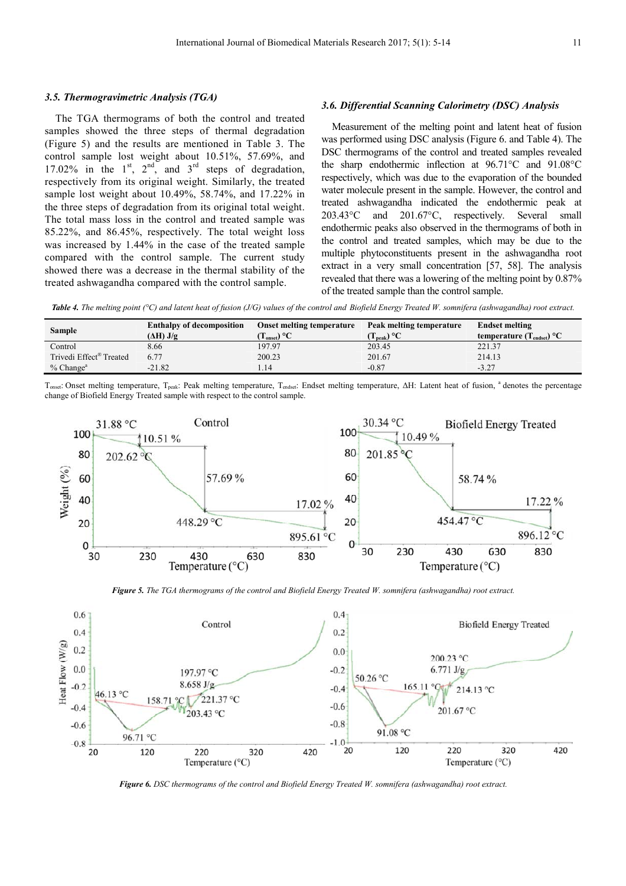#### *3.5. Thermogravimetric Analysis (TGA)*

The TGA thermograms of both the control and treated samples showed the three steps of thermal degradation (Figure 5) and the results are mentioned in Table 3. The control sample lost weight about 10.51%, 57.69%, and 17.02% in the  $1<sup>st</sup>$ ,  $2<sup>nd</sup>$ , and  $3<sup>rd</sup>$  steps of degradation, respectively from its original weight. Similarly, the treated sample lost weight about 10.49%, 58.74%, and 17.22% in the three steps of degradation from its original total weight. The total mass loss in the control and treated sample was 85.22%, and 86.45%, respectively. The total weight loss was increased by 1.44% in the case of the treated sample compared with the control sample. The current study showed there was a decrease in the thermal stability of the treated ashwagandha compared with the control sample.

#### *3.6. Differential Scanning Calorimetry (DSC) Analysis*

Measurement of the melting point and latent heat of fusion was performed using DSC analysis (Figure 6. and Table 4). The DSC thermograms of the control and treated samples revealed the sharp endothermic inflection at 96.71°C and 91.08°C respectively, which was due to the evaporation of the bounded water molecule present in the sample. However, the control and treated ashwagandha indicated the endothermic peak at 203.43°C and 201.67°C, respectively. Several small endothermic peaks also observed in the thermograms of both in the control and treated samples, which may be due to the multiple phytoconstituents present in the ashwagandha root extract in a very small concentration [57, 58]. The analysis revealed that there was a lowering of the melting point by 0.87% of the treated sample than the control sample.

Table 4. The melting point (°C) and latent heat of fusion (J/G) values of the control and Biofield Energy Treated W. somnifera (ashwagandha) root extract.

| <b>Sample</b>                       | <b>Enthalpy of decomposition</b><br>$(\Delta H)$ J/g | Onset melting temperature<br>$\Gamma_{\rm onset}$ ) °C | Peak melting temperature<br>$(\mathbf{T}_{\rm peak})$ °C | <b>Endset melting</b><br>temperature $(T_{\text{endset}})$ °C |
|-------------------------------------|------------------------------------------------------|--------------------------------------------------------|----------------------------------------------------------|---------------------------------------------------------------|
| Control                             | 8.66                                                 | 197.97                                                 | 203.45                                                   | 221.37                                                        |
| Trivedi Effect <sup>®</sup> Treated | 6.77                                                 | 200.23                                                 | 201.67                                                   | 214.13                                                        |
| $%$ Change <sup>a</sup>             | $-21.82$                                             | 1.14                                                   | $-0.87$                                                  | $-3.27$                                                       |

T<sub>onset</sub>: Onset melting temperature, T<sub>peak</sub>: Peak melting temperature, T<sub>endset</sub>: Endset melting temperature, ∆H: Latent heat of fusion, <sup>a</sup> denotes the percentage change of Biofield Energy Treated sample with respect to the control sample.



*Figure 5. The TGA thermograms of the control and Biofield Energy Treated W. somnifera (ashwagandha) root extract.* 



*Figure 6. DSC thermograms of the control and Biofield Energy Treated W. somnifera (ashwagandha) root extract.*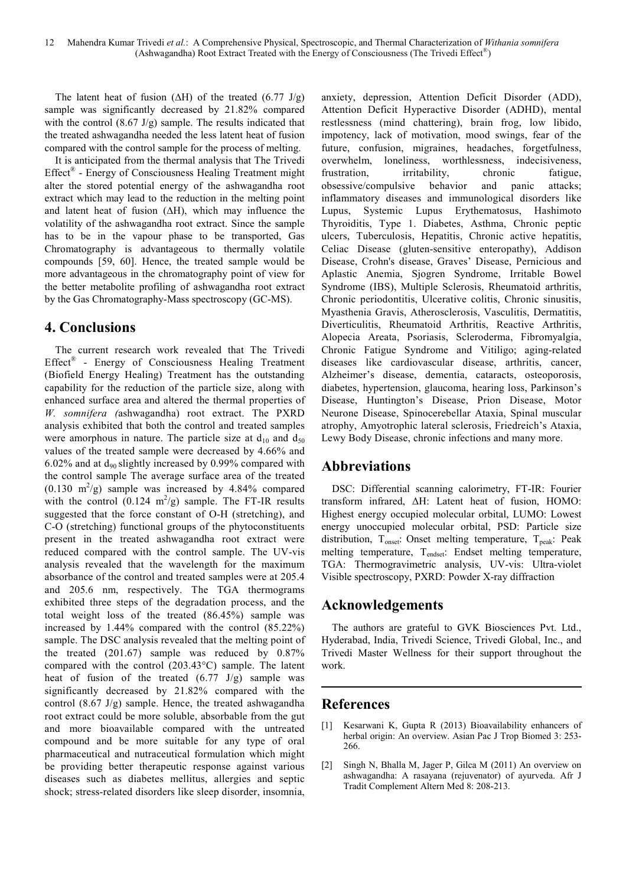The latent heat of fusion (∆H) of the treated (6.77 J/g) sample was significantly decreased by 21.82% compared with the control (8.67 J/g) sample. The results indicated that the treated ashwagandha needed the less latent heat of fusion compared with the control sample for the process of melting.

It is anticipated from the thermal analysis that The Trivedi Effect® - Energy of Consciousness Healing Treatment might alter the stored potential energy of the ashwagandha root extract which may lead to the reduction in the melting point and latent heat of fusion (∆H), which may influence the volatility of the ashwagandha root extract. Since the sample has to be in the vapour phase to be transported, Gas Chromatography is advantageous to thermally volatile compounds [59, 60]. Hence, the treated sample would be more advantageous in the chromatography point of view for the better metabolite profiling of ashwagandha root extract by the Gas Chromatography-Mass spectroscopy (GC-MS).

# **4. Conclusions**

The current research work revealed that The Trivedi Effect<sup>®</sup> - Energy of Consciousness Healing Treatment (Biofield Energy Healing) Treatment has the outstanding capability for the reduction of the particle size, along with enhanced surface area and altered the thermal properties of *W. somnifera (*ashwagandha) root extract. The PXRD analysis exhibited that both the control and treated samples were amorphous in nature. The particle size at  $d_{10}$  and  $d_{50}$ values of the treated sample were decreased by 4.66% and 6.02% and at  $d_{90}$  slightly increased by 0.99% compared with the control sample The average surface area of the treated  $(0.130 \text{ m}^2/\text{g})$  sample was increased by 4.84% compared with the control  $(0.124 \text{ m}^2/\text{g})$  sample. The FT-IR results suggested that the force constant of O-H (stretching), and C-O (stretching) functional groups of the phytoconstituents present in the treated ashwagandha root extract were reduced compared with the control sample. The UV-vis analysis revealed that the wavelength for the maximum absorbance of the control and treated samples were at 205.4 and 205.6 nm, respectively. The TGA thermograms exhibited three steps of the degradation process, and the total weight loss of the treated (86.45%) sample was increased by 1.44% compared with the control (85.22%) sample. The DSC analysis revealed that the melting point of the treated (201.67) sample was reduced by 0.87% compared with the control (203.43°C) sample. The latent heat of fusion of the treated  $(6.77 \text{ J/g})$  sample was significantly decreased by 21.82% compared with the control (8.67 J/g) sample. Hence, the treated ashwagandha root extract could be more soluble, absorbable from the gut and more bioavailable compared with the untreated compound and be more suitable for any type of oral pharmaceutical and nutraceutical formulation which might be providing better therapeutic response against various diseases such as diabetes mellitus, allergies and septic shock; stress-related disorders like sleep disorder, insomnia,

anxiety, depression, Attention Deficit Disorder (ADD), Attention Deficit Hyperactive Disorder (ADHD), mental restlessness (mind chattering), brain frog, low libido, impotency, lack of motivation, mood swings, fear of the future, confusion, migraines, headaches, forgetfulness, overwhelm, loneliness, worthlessness, indecisiveness, frustration, irritability, chronic fatigue, obsessive/compulsive behavior and panic attacks; inflammatory diseases and immunological disorders like Lupus, Systemic Lupus Erythematosus, Hashimoto Thyroiditis, Type 1. Diabetes, Asthma, Chronic peptic ulcers, Tuberculosis, Hepatitis, Chronic active hepatitis, Celiac Disease (gluten-sensitive enteropathy), Addison Disease, Crohn's disease, Graves' Disease, Pernicious and Aplastic Anemia, Sjogren Syndrome, Irritable Bowel Syndrome (IBS), Multiple Sclerosis, Rheumatoid arthritis, Chronic periodontitis, Ulcerative colitis, Chronic sinusitis, Myasthenia Gravis, Atherosclerosis, Vasculitis, Dermatitis, Diverticulitis, Rheumatoid Arthritis, Reactive Arthritis, Alopecia Areata, Psoriasis, Scleroderma, Fibromyalgia, Chronic Fatigue Syndrome and Vitiligo; aging-related diseases like cardiovascular disease, arthritis, cancer, Alzheimer's disease, dementia, cataracts, osteoporosis, diabetes, hypertension, glaucoma, hearing loss, Parkinson's Disease, Huntington's Disease, Prion Disease, Motor Neurone Disease, Spinocerebellar Ataxia, Spinal muscular atrophy, Amyotrophic lateral sclerosis, Friedreich's Ataxia, Lewy Body Disease, chronic infections and many more.

# **Abbreviations**

DSC: Differential scanning calorimetry, FT-IR: Fourier transform infrared, ∆H: Latent heat of fusion, HOMO: Highest energy occupied molecular orbital, LUMO: Lowest energy unoccupied molecular orbital, PSD: Particle size distribution,  $T_{onset}$ : Onset melting temperature,  $T_{neak}$ : Peak melting temperature, T<sub>endset</sub>: Endset melting temperature, TGA: Thermogravimetric analysis, UV-vis: Ultra-violet Visible spectroscopy, PXRD: Powder X-ray diffraction

# **Acknowledgements**

The authors are grateful to GVK Biosciences Pvt. Ltd., Hyderabad, India, Trivedi Science, Trivedi Global, Inc., and Trivedi Master Wellness for their support throughout the work.

# **References**

- [1] Kesarwani K, Gupta R (2013) Bioavailability enhancers of herbal origin: An overview. Asian Pac J Trop Biomed 3: 253- 266.
- [2] Singh N, Bhalla M, Jager P, Gilca M (2011) An overview on ashwagandha: A rasayana (rejuvenator) of ayurveda. Afr J Tradit Complement Altern Med 8: 208-213.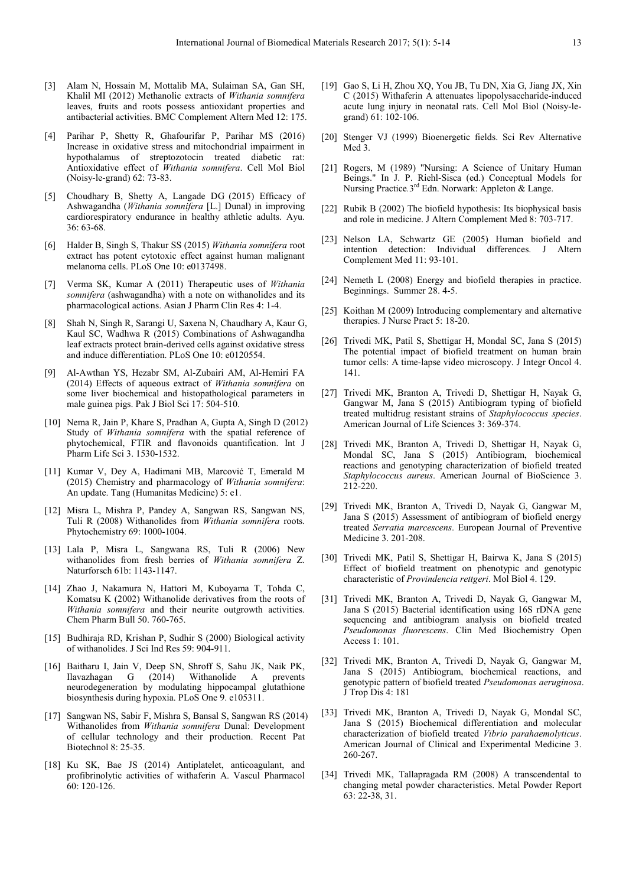- [3] Alam N, Hossain M, Mottalib MA, Sulaiman SA, Gan SH, Khalil MI (2012) Methanolic extracts of *Withania somnifera* leaves, fruits and roots possess antioxidant properties and antibacterial activities. BMC Complement Altern Med 12: 175.
- [4] Parihar P, Shetty R, Ghafourifar P, Parihar MS (2016) Increase in oxidative stress and mitochondrial impairment in hypothalamus of streptozotocin treated diabetic rat: Antioxidative effect of *Withania somnifera*. Cell Mol Biol (Noisy-le-grand) 62: 73-83.
- [5] Choudhary B, Shetty A, Langade DG (2015) Efficacy of Ashwagandha (*Withania somnifera* [L.] Dunal) in improving cardiorespiratory endurance in healthy athletic adults. Ayu. 36: 63-68.
- [6] Halder B, Singh S, Thakur SS (2015) *Withania somnifera* root extract has potent cytotoxic effect against human malignant melanoma cells. PLoS One 10: e0137498.
- [7] Verma SK, Kumar A (2011) Therapeutic uses of *Withania somnifera* (ashwagandha) with a note on withanolides and its pharmacological actions. Asian J Pharm Clin Res 4: 1-4.
- [8] Shah N, Singh R, Sarangi U, Saxena N, Chaudhary A, Kaur G, Kaul SC, Wadhwa R (2015) Combinations of Ashwagandha leaf extracts protect brain-derived cells against oxidative stress and induce differentiation. PLoS One 10: e0120554.
- [9] Al-Awthan YS, Hezabr SM, Al-Zubairi AM, Al-Hemiri FA (2014) Effects of aqueous extract of *Withania somnifera* on some liver biochemical and histopathological parameters in male guinea pigs. Pak J Biol Sci 17: 504-510.
- [10] Nema R, Jain P, Khare S, Pradhan A, Gupta A, Singh D (2012) Study of *Withania somnifera* with the spatial reference of phytochemical, FTIR and flavonoids quantification. Int J Pharm Life Sci 3. 1530-1532.
- [11] Kumar V, Dey A, Hadimani MB, Marcović T, Emerald M (2015) Chemistry and pharmacology of *Withania somnifera*: An update. Tang (Humanitas Medicine) 5: e1.
- [12] Misra L, Mishra P, Pandey A, Sangwan RS, Sangwan NS, Tuli R (2008) Withanolides from *Withania somnifera* roots. Phytochemistry 69: 1000-1004.
- [13] Lala P, Misra L, Sangwana RS, Tuli R (2006) New withanolides from fresh berries of *Withania somnifera* Z. Naturforsch 61b: 1143-1147.
- [14] Zhao J, Nakamura N, Hattori M, Kuboyama T, Tohda C, Komatsu K (2002) Withanolide derivatives from the roots of *Withania somnifera* and their neurite outgrowth activities. Chem Pharm Bull 50. 760-765.
- [15] Budhiraja RD, Krishan P, Sudhir S (2000) Biological activity of withanolides. J Sci Ind Res 59: 904-911.
- [16] Baitharu I, Jain V, Deep SN, Shroff S, Sahu JK, Naik PK, Ilavazhagan G (2014) Withanolide A prevents neurodegeneration by modulating hippocampal glutathione biosynthesis during hypoxia. PLoS One 9. e105311.
- [17] Sangwan NS, Sabir F, Mishra S, Bansal S, Sangwan RS (2014) Withanolides from *Withania somnifera* Dunal: Development of cellular technology and their production. Recent Pat Biotechnol 8: 25-35.
- [18] Ku SK, Bae JS (2014) Antiplatelet, anticoagulant, and profibrinolytic activities of withaferin A. Vascul Pharmacol 60: 120-126.
- [19] Gao S, Li H, Zhou XQ, You JB, Tu DN, Xia G, Jiang JX, Xin C (2015) Withaferin A attenuates lipopolysaccharide-induced acute lung injury in neonatal rats. Cell Mol Biol (Noisy-legrand) 61: 102-106.
- [20] Stenger VJ (1999) Bioenergetic fields. Sci Rev Alternative Med 3.
- [21] Rogers, M (1989) "Nursing: A Science of Unitary Human Beings." In J. P. Riehl-Sisca (ed.) Conceptual Models for Nursing Practice.<sup>3rd</sup> Edn. Norwark: Appleton & Lange.
- [22] Rubik B (2002) The biofield hypothesis: Its biophysical basis and role in medicine. J Altern Complement Med 8: 703-717.
- [23] Nelson LA, Schwartz GE (2005) Human biofield and intention detection: Individual differences. J Altern Complement Med 11: 93-101.
- [24] Nemeth L (2008) Energy and biofield therapies in practice. Beginnings. Summer 28. 4-5.
- [25] Koithan M (2009) Introducing complementary and alternative therapies. J Nurse Pract 5: 18-20.
- [26] Trivedi MK, Patil S, Shettigar H, Mondal SC, Jana S (2015) The potential impact of biofield treatment on human brain tumor cells: A time-lapse video microscopy. J Integr Oncol 4. 141.
- [27] Trivedi MK, Branton A, Trivedi D, Shettigar H, Nayak G, Gangwar M, Jana S (2015) Antibiogram typing of biofield treated multidrug resistant strains of *Staphylococcus species*. American Journal of Life Sciences 3: 369-374.
- [28] Trivedi MK, Branton A, Trivedi D, Shettigar H, Nayak G, Mondal SC, Jana S (2015) Antibiogram, biochemical reactions and genotyping characterization of biofield treated *Staphylococcus aureus*. American Journal of BioScience 3. 212-220.
- [29] Trivedi MK, Branton A, Trivedi D, Nayak G, Gangwar M, Jana S (2015) Assessment of antibiogram of biofield energy treated *Serratia marcescens*. European Journal of Preventive Medicine 3. 201-208.
- [30] Trivedi MK, Patil S, Shettigar H, Bairwa K, Jana S (2015) Effect of biofield treatment on phenotypic and genotypic characteristic of *Provindencia rettgeri*. Mol Biol 4. 129.
- [31] Trivedi MK, Branton A, Trivedi D, Nayak G, Gangwar M, Jana S (2015) Bacterial identification using 16S rDNA gene sequencing and antibiogram analysis on biofield treated *Pseudomonas fluorescens*. Clin Med Biochemistry Open Access 1: 101.
- [32] Trivedi MK, Branton A, Trivedi D, Nayak G, Gangwar M, Jana S (2015) Antibiogram, biochemical reactions, and genotypic pattern of biofield treated *Pseudomonas aeruginosa*. J Trop Dis 4: 181
- [33] Trivedi MK, Branton A, Trivedi D, Nayak G, Mondal SC, Jana S (2015) Biochemical differentiation and molecular characterization of biofield treated *Vibrio parahaemolyticus*. American Journal of Clinical and Experimental Medicine 3. 260-267.
- [34] Trivedi MK, Tallapragada RM (2008) A transcendental to changing metal powder characteristics. Metal Powder Report 63: 22-38, 31.